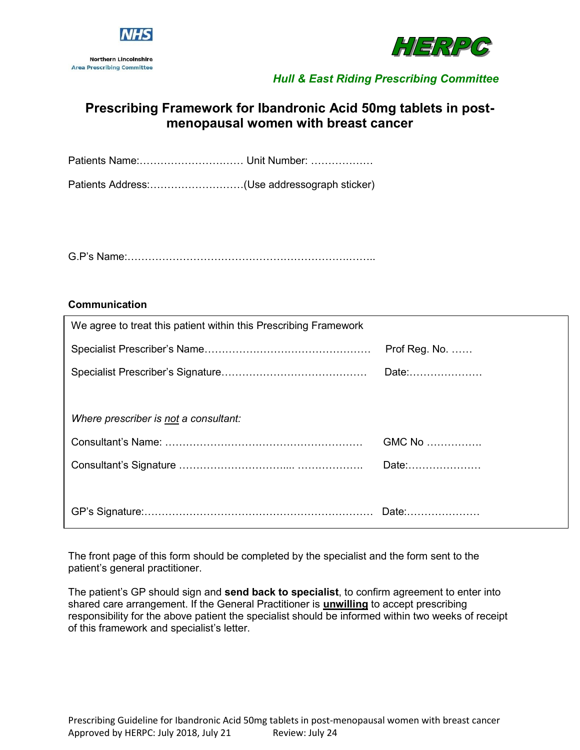



# **Prescribing Framework for Ibandronic Acid 50mg tablets in postmenopausal women with breast cancer**

Patients Name:………………………… Unit Number: ………………

Patients Address:………………………(Use addressograph sticker)

G.P's Name:……………………………………………………….……..

#### **Communication**

| We agree to treat this patient within this Prescribing Framework |                         |
|------------------------------------------------------------------|-------------------------|
|                                                                  | Prof Reg. No. $\dots$ . |
|                                                                  | Date:                   |
|                                                                  |                         |
| Where prescriber is not a consultant:                            |                         |
|                                                                  | GMC No                  |
|                                                                  | Date:                   |
|                                                                  |                         |
|                                                                  |                         |

The front page of this form should be completed by the specialist and the form sent to the patient's general practitioner.

The patient's GP should sign and **send back to specialist**, to confirm agreement to enter into shared care arrangement. If the General Practitioner is **unwilling** to accept prescribing responsibility for the above patient the specialist should be informed within two weeks of receipt of this framework and specialist's letter.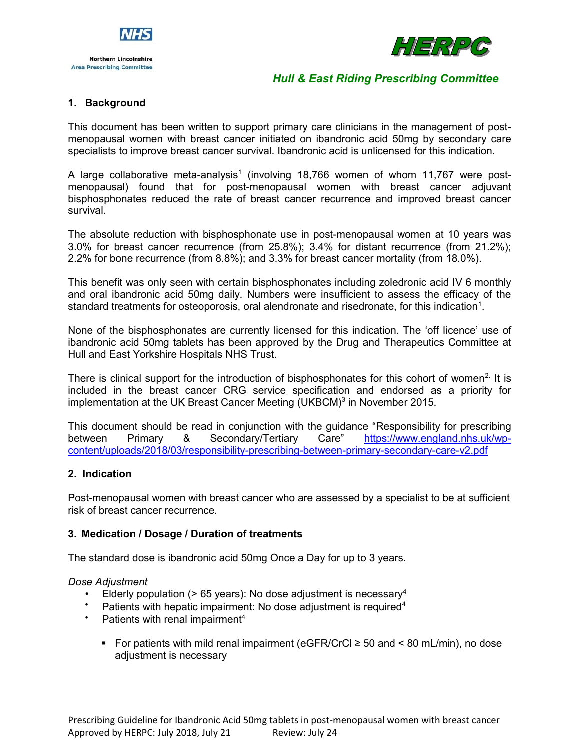



### **1. Background**

This document has been written to support primary care clinicians in the management of postmenopausal women with breast cancer initiated on ibandronic acid 50mg by secondary care specialists to improve breast cancer survival. Ibandronic acid is unlicensed for this indication.

A large collaborative meta-analysis<sup>1</sup> (involving 18,766 women of whom 11,767 were postmenopausal) found that for post-menopausal women with breast cancer adjuvant bisphosphonates reduced the rate of breast cancer recurrence and improved breast cancer survival.

The absolute reduction with bisphosphonate use in post-menopausal women at 10 years was 3.0% for breast cancer recurrence (from 25.8%); 3.4% for distant recurrence (from 21.2%); 2.2% for bone recurrence (from 8.8%); and 3.3% for breast cancer mortality (from 18.0%).

This benefit was only seen with certain bisphosphonates including zoledronic acid IV 6 monthly and oral ibandronic acid 50mg daily. Numbers were insufficient to assess the efficacy of the standard treatments for osteoporosis, oral alendronate and risedronate, for this indication $^{\rm 1}.$ 

None of the bisphosphonates are currently licensed for this indication. The 'off licence' use of ibandronic acid 50mg tablets has been approved by the Drug and Therapeutics Committee at Hull and East Yorkshire Hospitals NHS Trust.

There is clinical support for the introduction of bisphosphonates for this cohort of women<sup>2</sup>. It is included in the breast cancer CRG service specification and endorsed as a priority for implementation at the UK Breast Cancer Meeting (UKBCM) $3$  in November 2015.

This document should be read in conjunction with the guidance "Responsibility for prescribing between Primary & Secondary/Tertiary Care" [https://www.england.nhs.uk/wp](https://www.england.nhs.uk/wp-content/uploads/2018/03/responsibility-prescribing-between-primary-secondary-care-v2.pdf)[content/uploads/2018/03/responsibility-prescribing-between-primary-secondary-care-v2.pdf](https://www.england.nhs.uk/wp-content/uploads/2018/03/responsibility-prescribing-between-primary-secondary-care-v2.pdf)

#### **2. Indication**

Post-menopausal women with breast cancer who are assessed by a specialist to be at sufficient risk of breast cancer recurrence.

#### **3. Medication / Dosage / Duration of treatments**

The standard dose is ibandronic acid 50mg Once a Day for up to 3 years.

#### *Dose Adjustment*

- Elderly population ( $> 65$  years): No dose adjustment is necessary<sup>4</sup>
- Patients with hepatic impairment: No dose adjustment is required<sup>4</sup>
- Patients with renal impairment<sup>4</sup>
	- For patients with mild renal impairment (eGFR/CrCl  $\geq$  50 and < 80 mL/min), no dose adjustment is necessary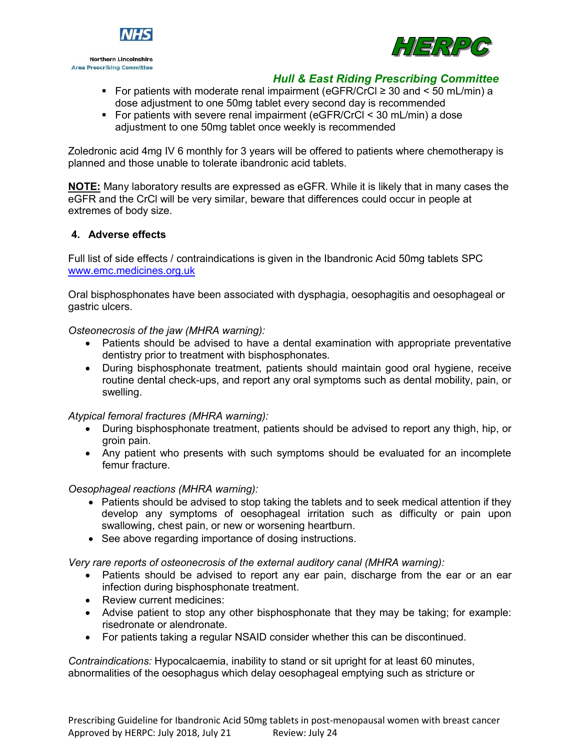

**Northern Lincolnshire Area Prescribing Committee** 



### *Hull & East Riding Prescribing Committee*

- For patients with moderate renal impairment (eGFR/CrCl  $\geq$  30 and  $\lt$  50 mL/min) a dose adjustment to one 50mg tablet every second day is recommended
- For patients with severe renal impairment (eGFR/CrCl < 30 mL/min) a dose adjustment to one 50mg tablet once weekly is recommended

Zoledronic acid 4mg IV 6 monthly for 3 years will be offered to patients where chemotherapy is planned and those unable to tolerate ibandronic acid tablets.

**NOTE:** Many laboratory results are expressed as eGFR. While it is likely that in many cases the eGFR and the CrCl will be very similar, beware that differences could occur in people at extremes of body size.

### **4. Adverse effects**

Full list of side effects / contraindications is given in the Ibandronic Acid 50mg tablets SPC [www.emc.medicines.org.uk](http://www.emc.medicines.org.uk/)

Oral bisphosphonates have been associated with dysphagia, oesophagitis and oesophageal or gastric ulcers.

*Osteonecrosis of the jaw (MHRA warning):*

- Patients should be advised to have a dental examination with appropriate preventative dentistry prior to treatment with bisphosphonates.
- During bisphosphonate treatment, patients should maintain good oral hygiene, receive routine dental check-ups, and report any oral symptoms such as dental mobility, pain, or swelling.

*Atypical femoral fractures (MHRA warning):*

- During bisphosphonate treatment, patients should be advised to report any thigh, hip, or groin pain.
- Any patient who presents with such symptoms should be evaluated for an incomplete femur fracture.

*Oesophageal reactions (MHRA warning):*

- Patients should be advised to stop taking the tablets and to seek medical attention if they develop any symptoms of oesophageal irritation such as difficulty or pain upon swallowing, chest pain, or new or worsening heartburn.
- See above regarding importance of dosing instructions.

*Very rare reports of osteonecrosis of the external auditory canal (MHRA warning):*

- Patients should be advised to report any ear pain, discharge from the ear or an ear infection during bisphosphonate treatment.
- Review current medicines:
- Advise patient to stop any other bisphosphonate that they may be taking; for example: risedronate or alendronate.
- For patients taking a regular NSAID consider whether this can be discontinued.

*Contraindications:* Hypocalcaemia, inability to stand or sit upright for at least 60 minutes, abnormalities of the oesophagus which delay oesophageal emptying such as stricture or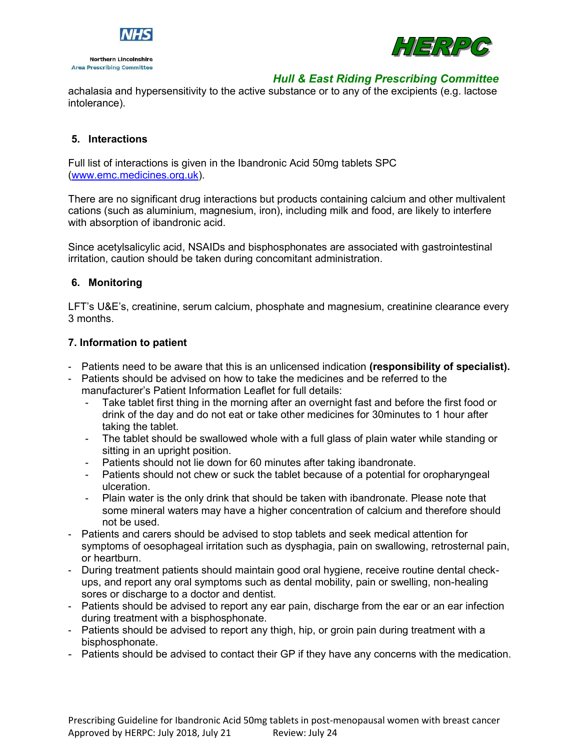



achalasia and hypersensitivity to the active substance or to any of the excipients (e.g. lactose intolerance).

### **5. Interactions**

Full list of interactions is given in the Ibandronic Acid 50mg tablets SPC [\(www.emc.medicines.org.uk\)](http://www.emc.medicines.org.uk/).

There are no significant drug interactions but products containing calcium and other multivalent cations (such as aluminium, magnesium, iron), including milk and food, are likely to interfere with absorption of ibandronic acid.

Since acetylsalicylic acid, NSAIDs and bisphosphonates are associated with gastrointestinal irritation, caution should be taken during concomitant administration.

#### **6. Monitoring**

LFT's U&E's, creatinine, serum calcium, phosphate and magnesium, creatinine clearance every 3 months.

#### **7. Information to patient**

- Patients need to be aware that this is an unlicensed indication **(responsibility of specialist).**
- Patients should be advised on how to take the medicines and be referred to the manufacturer's Patient Information Leaflet for full details:
	- Take tablet first thing in the morning after an overnight fast and before the first food or drink of the day and do not eat or take other medicines for 30minutes to 1 hour after taking the tablet.
	- The tablet should be swallowed whole with a full glass of plain water while standing or sitting in an upright position.
	- Patients should not lie down for 60 minutes after taking ibandronate.
	- Patients should not chew or suck the tablet because of a potential for oropharyngeal ulceration.
	- Plain water is the only drink that should be taken with ibandronate. Please note that some mineral waters may have a higher concentration of calcium and therefore should not be used.
- Patients and carers should be advised to stop tablets and seek medical attention for symptoms of oesophageal irritation such as dysphagia, pain on swallowing, retrosternal pain, or heartburn.
- During treatment patients should maintain good oral hygiene, receive routine dental checkups, and report any oral symptoms such as dental mobility, pain or swelling, non-healing sores or discharge to a doctor and dentist.
- Patients should be advised to report any ear pain, discharge from the ear or an ear infection during treatment with a bisphosphonate.
- Patients should be advised to report any thigh, hip, or groin pain during treatment with a bisphosphonate.
- Patients should be advised to contact their GP if they have any concerns with the medication.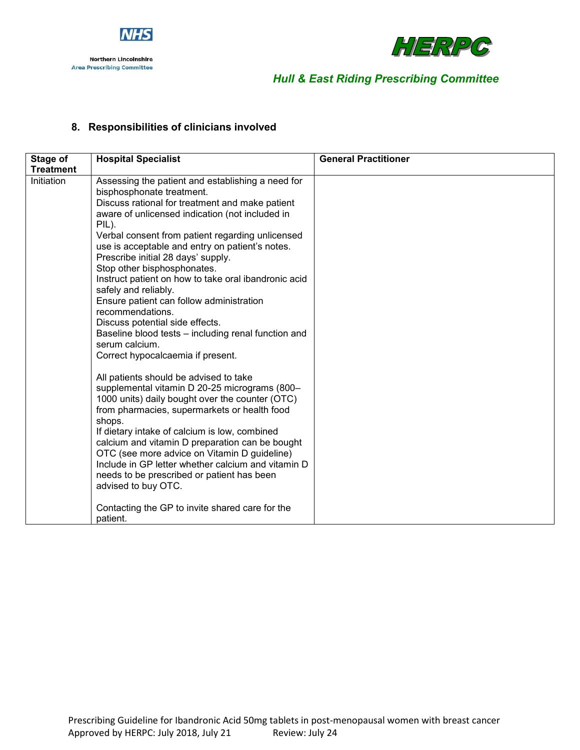



# **8. Responsibilities of clinicians involved**

| Stage of         | <b>Hospital Specialist</b>                                                                                                                                                                                                                                                                                                                                                                                                                                                                                                                                                                                                                                                                                                                                                                                                                                                                                                                                                                                                                                                                                                                                                                                           | <b>General Practitioner</b> |
|------------------|----------------------------------------------------------------------------------------------------------------------------------------------------------------------------------------------------------------------------------------------------------------------------------------------------------------------------------------------------------------------------------------------------------------------------------------------------------------------------------------------------------------------------------------------------------------------------------------------------------------------------------------------------------------------------------------------------------------------------------------------------------------------------------------------------------------------------------------------------------------------------------------------------------------------------------------------------------------------------------------------------------------------------------------------------------------------------------------------------------------------------------------------------------------------------------------------------------------------|-----------------------------|
| <b>Treatment</b> |                                                                                                                                                                                                                                                                                                                                                                                                                                                                                                                                                                                                                                                                                                                                                                                                                                                                                                                                                                                                                                                                                                                                                                                                                      |                             |
| Initiation       | Assessing the patient and establishing a need for<br>bisphosphonate treatment.<br>Discuss rational for treatment and make patient<br>aware of unlicensed indication (not included in<br>PIL).<br>Verbal consent from patient regarding unlicensed<br>use is acceptable and entry on patient's notes.<br>Prescribe initial 28 days' supply.<br>Stop other bisphosphonates.<br>Instruct patient on how to take oral ibandronic acid<br>safely and reliably.<br>Ensure patient can follow administration<br>recommendations.<br>Discuss potential side effects.<br>Baseline blood tests - including renal function and<br>serum calcium.<br>Correct hypocalcaemia if present.<br>All patients should be advised to take<br>supplemental vitamin D 20-25 micrograms (800-<br>1000 units) daily bought over the counter (OTC)<br>from pharmacies, supermarkets or health food<br>shops.<br>If dietary intake of calcium is low, combined<br>calcium and vitamin D preparation can be bought<br>OTC (see more advice on Vitamin D guideline)<br>Include in GP letter whether calcium and vitamin D<br>needs to be prescribed or patient has been<br>advised to buy OTC.<br>Contacting the GP to invite shared care for the |                             |
|                  | patient.                                                                                                                                                                                                                                                                                                                                                                                                                                                                                                                                                                                                                                                                                                                                                                                                                                                                                                                                                                                                                                                                                                                                                                                                             |                             |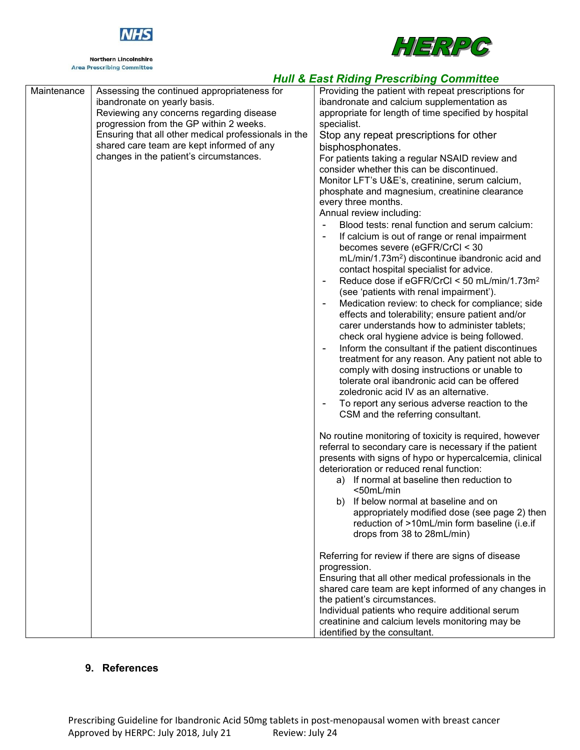

**Northern Lincolnshire Area Prescribing Committee** 



### *Hull & East Riding Prescribing Committee*

| Maintenance | Assessing the continued appropriateness for          | Providing the patient with repeat prescriptions for         |
|-------------|------------------------------------------------------|-------------------------------------------------------------|
|             | ibandronate on yearly basis.                         | ibandronate and calcium supplementation as                  |
|             | Reviewing any concerns regarding disease             | appropriate for length of time specified by hospital        |
|             | progression from the GP within 2 weeks.              | specialist.                                                 |
|             | Ensuring that all other medical professionals in the | Stop any repeat prescriptions for other                     |
|             | shared care team are kept informed of any            | bisphosphonates.                                            |
|             | changes in the patient's circumstances.              | For patients taking a regular NSAID review and              |
|             |                                                      | consider whether this can be discontinued.                  |
|             |                                                      | Monitor LFT's U&E's, creatinine, serum calcium,             |
|             |                                                      | phosphate and magnesium, creatinine clearance               |
|             |                                                      | every three months.                                         |
|             |                                                      | Annual review including:                                    |
|             |                                                      | Blood tests: renal function and serum calcium:              |
|             |                                                      | If calcium is out of range or renal impairment              |
|             |                                                      | becomes severe (eGFR/CrCl < 30                              |
|             |                                                      | mL/min/1.73m <sup>2</sup> ) discontinue ibandronic acid and |
|             |                                                      | contact hospital specialist for advice.                     |
|             |                                                      | Reduce dose if eGFR/CrCl < 50 mL/min/1.73m <sup>2</sup>     |
|             |                                                      | (see 'patients with renal impairment').                     |
|             |                                                      | Medication review: to check for compliance; side            |
|             |                                                      | effects and tolerability; ensure patient and/or             |
|             |                                                      | carer understands how to administer tablets;                |
|             |                                                      | check oral hygiene advice is being followed.                |
|             |                                                      |                                                             |
|             |                                                      | Inform the consultant if the patient discontinues           |
|             |                                                      | treatment for any reason. Any patient not able to           |
|             |                                                      | comply with dosing instructions or unable to                |
|             |                                                      | tolerate oral ibandronic acid can be offered                |
|             |                                                      | zoledronic acid IV as an alternative.                       |
|             |                                                      | To report any serious adverse reaction to the               |
|             |                                                      | CSM and the referring consultant.                           |
|             |                                                      |                                                             |
|             |                                                      | No routine monitoring of toxicity is required, however      |
|             |                                                      | referral to secondary care is necessary if the patient      |
|             |                                                      | presents with signs of hypo or hypercalcemia, clinical      |
|             |                                                      | deterioration or reduced renal function:                    |
|             |                                                      | a) If normal at baseline then reduction to                  |
|             |                                                      | <50mL/min                                                   |
|             |                                                      | b) If below normal at baseline and on                       |
|             |                                                      | appropriately modified dose (see page 2) then               |
|             |                                                      | reduction of >10mL/min form baseline (i.e.if                |
|             |                                                      | drops from 38 to 28mL/min)                                  |
|             |                                                      |                                                             |
|             |                                                      | Referring for review if there are signs of disease          |
|             |                                                      | progression.                                                |
|             |                                                      | Ensuring that all other medical professionals in the        |
|             |                                                      | shared care team are kept informed of any changes in        |
|             |                                                      | the patient's circumstances.                                |
|             |                                                      | Individual patients who require additional serum            |
|             |                                                      | creatinine and calcium levels monitoring may be             |
|             |                                                      | identified by the consultant.                               |

### **9. References**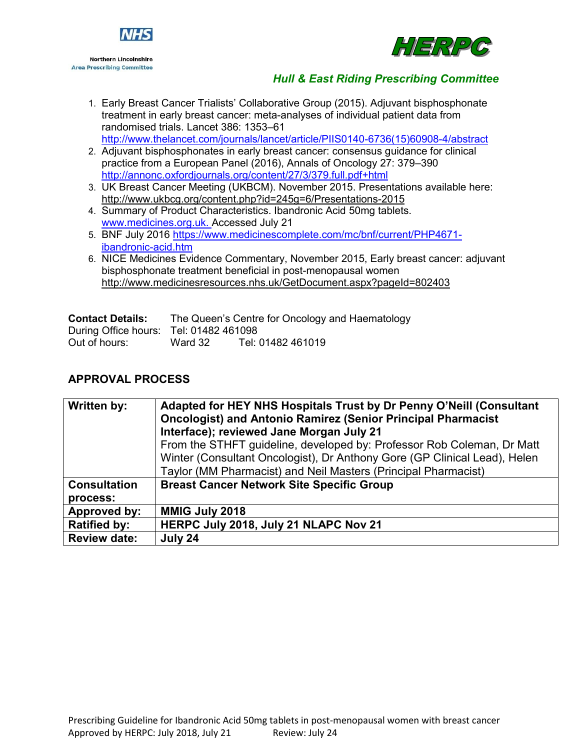



- 1. Early Breast Cancer Trialists' Collaborative Group (2015). Adjuvant bisphosphonate treatment in early breast cancer: meta-analyses of individual patient data from randomised trials. Lancet 386: 1353–61 [http://www.thelancet.com/journals/lancet/article/PIIS0140-6736\(15\)60908-4/abstract](http://www.thelancet.com/journals/lancet/article/PIIS0140-6736(15)60908-4/abstract)
- 2. Adjuvant bisphosphonates in early breast cancer: consensus guidance for clinical practice from a European Panel (2016), Annals of Oncology 27: 379–390 <http://annonc.oxfordjournals.org/content/27/3/379.full.pdf+html>
- 3. UK Breast Cancer Meeting (UKBCM). November 2015. Presentations available here: http://www.ukbcg.org/content.php?id=245g=6/Presentations-2015
- 4. Summary of Product Characteristics. Ibandronic Acid 50mg tablets. [www.medicines.org.uk. A](http://www.medicines.org.uk/)ccessed July 21
- 5. BNF July 2016 [https://www.medicinescomplete.com/mc/bnf/current/PHP4671](https://www.medicinescomplete.com/mc/bnf/current/PHP4671-ibandronic-acid.htm) [ibandronic-acid.htm](https://www.medicinescomplete.com/mc/bnf/current/PHP4671-ibandronic-acid.htm)
- 6. NICE Medicines Evidence Commentary, November 2015, Early breast cancer: adjuvant bisphosphonate treatment beneficial in post-menopausal women http://www.medicinesresources.nhs.uk/GetDocument.aspx?pageId=802403

| <b>Contact Details:</b>                |         | The Queen's Centre for Oncology and Haematology |
|----------------------------------------|---------|-------------------------------------------------|
| During Office hours: Tel: 01482 461098 |         |                                                 |
| Out of hours:                          | Ward 32 | Tel: 01482 461019                               |

# **APPROVAL PROCESS**

| Written by:         | Adapted for HEY NHS Hospitals Trust by Dr Penny O'Neill (Consultant<br><b>Oncologist) and Antonio Ramirez (Senior Principal Pharmacist</b><br>Interface); reviewed Jane Morgan July 21<br>From the STHFT guideline, developed by: Professor Rob Coleman, Dr Matt<br>Winter (Consultant Oncologist), Dr Anthony Gore (GP Clinical Lead), Helen<br>Taylor (MM Pharmacist) and Neil Masters (Principal Pharmacist) |
|---------------------|-----------------------------------------------------------------------------------------------------------------------------------------------------------------------------------------------------------------------------------------------------------------------------------------------------------------------------------------------------------------------------------------------------------------|
| <b>Consultation</b> | <b>Breast Cancer Network Site Specific Group</b>                                                                                                                                                                                                                                                                                                                                                                |
| process:            |                                                                                                                                                                                                                                                                                                                                                                                                                 |
| Approved by:        | <b>MMIG July 2018</b>                                                                                                                                                                                                                                                                                                                                                                                           |
| <b>Ratified by:</b> | HERPC July 2018, July 21 NLAPC Nov 21                                                                                                                                                                                                                                                                                                                                                                           |
| <b>Review date:</b> | July 24                                                                                                                                                                                                                                                                                                                                                                                                         |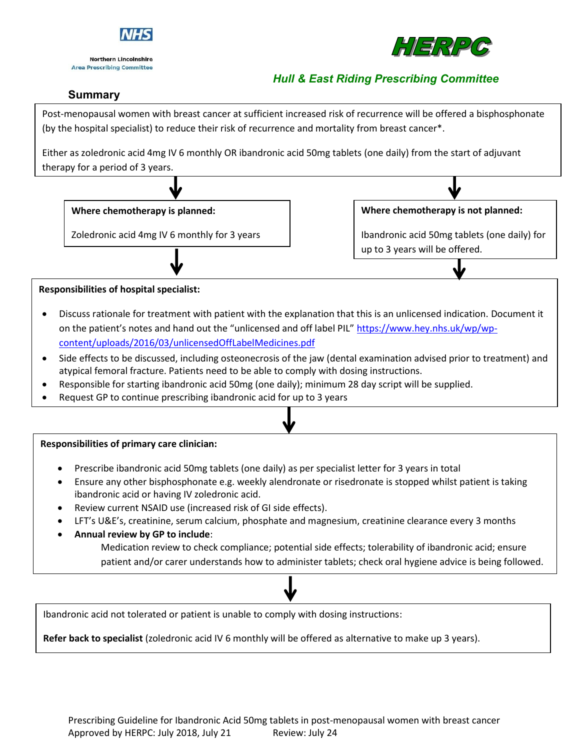

**Northern Lincolnshire Area Prescribing Committee** 



# *Hull & East Riding Prescribing Committee*

# **Summary**

Post-menopausal women with breast cancer at sufficient increased risk of recurrence will be offered a bisphosphonate (by the hospital specialist) to reduce their risk of recurrence and mortality from breast cancer\*.

Either as zoledronic acid 4mg IV 6 monthly OR ibandronic acid 50mg tablets (one daily) from the start of adjuvant therapy for a period of 3 years.



#### **Responsibilities of hospital specialist:**

- Discuss rationale for treatment with patient with the explanation that this is an unlicensed indication. Document it on the patient's notes and hand out the "unlicensed and off label PIL" [https://www.hey.nhs.uk/wp/wp](https://www.hey.nhs.uk/wp/wp-content/uploads/2016/03/unlicensedOffLabelMedicines.pdf)[content/uploads/2016/03/unlicensedOffLabelMedicines.pdf](https://www.hey.nhs.uk/wp/wp-content/uploads/2016/03/unlicensedOffLabelMedicines.pdf)
- Side effects to be discussed, including osteonecrosis of the jaw (dental examination advised prior to treatment) and atypical femoral fracture. Patients need to be able to comply with dosing instructions.
- Responsible for starting ibandronic acid 50mg (one daily); minimum 28 day script will be supplied.
- Request GP to continue prescribing ibandronic acid for up to 3 years

#### **Responsibilities of primary care clinician:**

- Prescribe ibandronic acid 50mg tablets (one daily) as per specialist letter for 3 years in total
- Ensure any other bisphosphonate e.g. weekly alendronate or risedronate is stopped whilst patient is taking ibandronic acid or having IV zoledronic acid.
- Review current NSAID use (increased risk of GI side effects).
- LFT's U&E's, creatinine, serum calcium, phosphate and magnesium, creatinine clearance every 3 months
- **Annual review by GP to include**: Medication review to check compliance; potential side effects; tolerability of ibandronic acid; ensure patient and/or carer understands how to administer tablets; check oral hygiene advice is being followed.

Ibandronic acid not tolerated or patient is unable to comply with dosing instructions:

**Refer back to specialist** (zoledronic acid IV 6 monthly will be offered as alternative to make up 3 years).